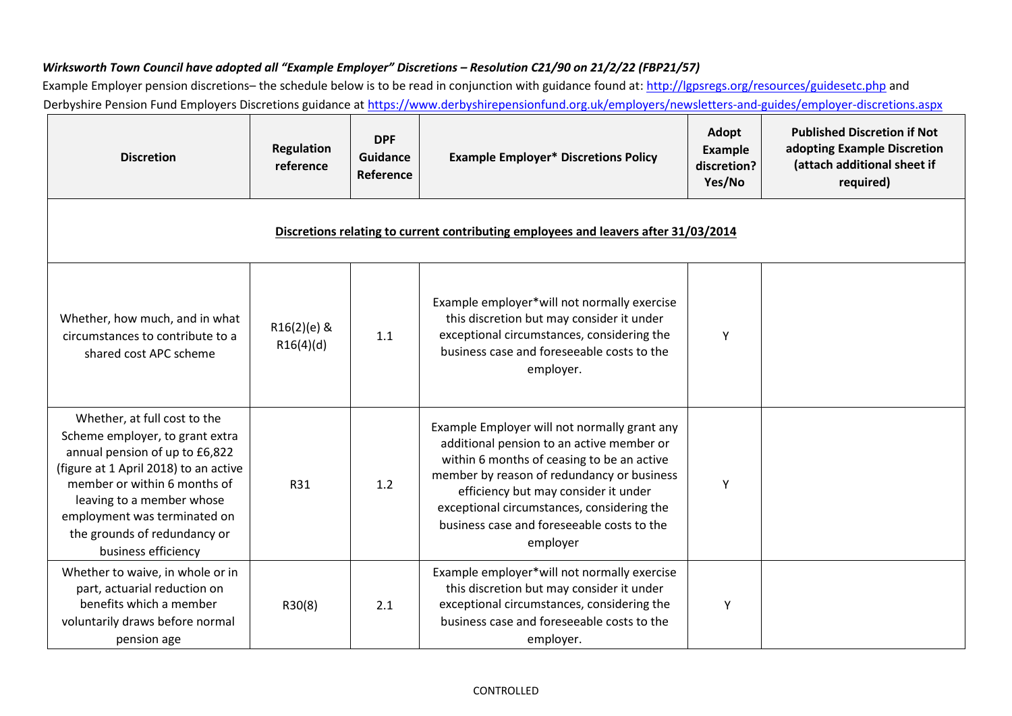## *Wirksworth Town Council have adopted all "Example Employer" Discretions – Resolution C21/90 on 21/2/22 (FBP21/57)*

Example Employer pension discretions- the schedule below is to be read in conjunction with guidance found a[t: http://lgpsregs.org/resources/guidesetc.php](http://lgpsregs.org/resources/guidesetc.php) [a](http://lgpsregs.org/resources/guidesetc.php)nd Derbyshire Pension Fund Employers Discretions guidance at<https://www.derbyshirepensionfund.org.uk/employers/newsletters-and-guides/employer-discretions.aspx>

| <b>Discretion</b>                                                                                                                                                                                                                                                                              | <b>Regulation</b><br>reference | <b>DPF</b><br><b>Guidance</b><br>Reference | <b>Example Employer* Discretions Policy</b>                                                                                                                                                                                                                                                                                           | Adopt<br>Example<br>discretion?<br>Yes/No | <b>Published Discretion if Not</b><br>adopting Example Discretion<br>(attach additional sheet if<br>required) |
|------------------------------------------------------------------------------------------------------------------------------------------------------------------------------------------------------------------------------------------------------------------------------------------------|--------------------------------|--------------------------------------------|---------------------------------------------------------------------------------------------------------------------------------------------------------------------------------------------------------------------------------------------------------------------------------------------------------------------------------------|-------------------------------------------|---------------------------------------------------------------------------------------------------------------|
| Discretions relating to current contributing employees and leavers after 31/03/2014                                                                                                                                                                                                            |                                |                                            |                                                                                                                                                                                                                                                                                                                                       |                                           |                                                                                                               |
| Whether, how much, and in what<br>circumstances to contribute to a<br>shared cost APC scheme                                                                                                                                                                                                   | R16(2)(e) &<br>R16(4)(d)       | 1.1                                        | Example employer*will not normally exercise<br>this discretion but may consider it under<br>exceptional circumstances, considering the<br>business case and foreseeable costs to the<br>employer.                                                                                                                                     | Y                                         |                                                                                                               |
| Whether, at full cost to the<br>Scheme employer, to grant extra<br>annual pension of up to £6,822<br>(figure at 1 April 2018) to an active<br>member or within 6 months of<br>leaving to a member whose<br>employment was terminated on<br>the grounds of redundancy or<br>business efficiency | R31                            | 1.2                                        | Example Employer will not normally grant any<br>additional pension to an active member or<br>within 6 months of ceasing to be an active<br>member by reason of redundancy or business<br>efficiency but may consider it under<br>exceptional circumstances, considering the<br>business case and foreseeable costs to the<br>employer | Υ                                         |                                                                                                               |
| Whether to waive, in whole or in<br>part, actuarial reduction on<br>benefits which a member<br>voluntarily draws before normal<br>pension age                                                                                                                                                  | R30(8)                         | 2.1                                        | Example employer*will not normally exercise<br>this discretion but may consider it under<br>exceptional circumstances, considering the<br>business case and foreseeable costs to the<br>employer.                                                                                                                                     | Υ                                         |                                                                                                               |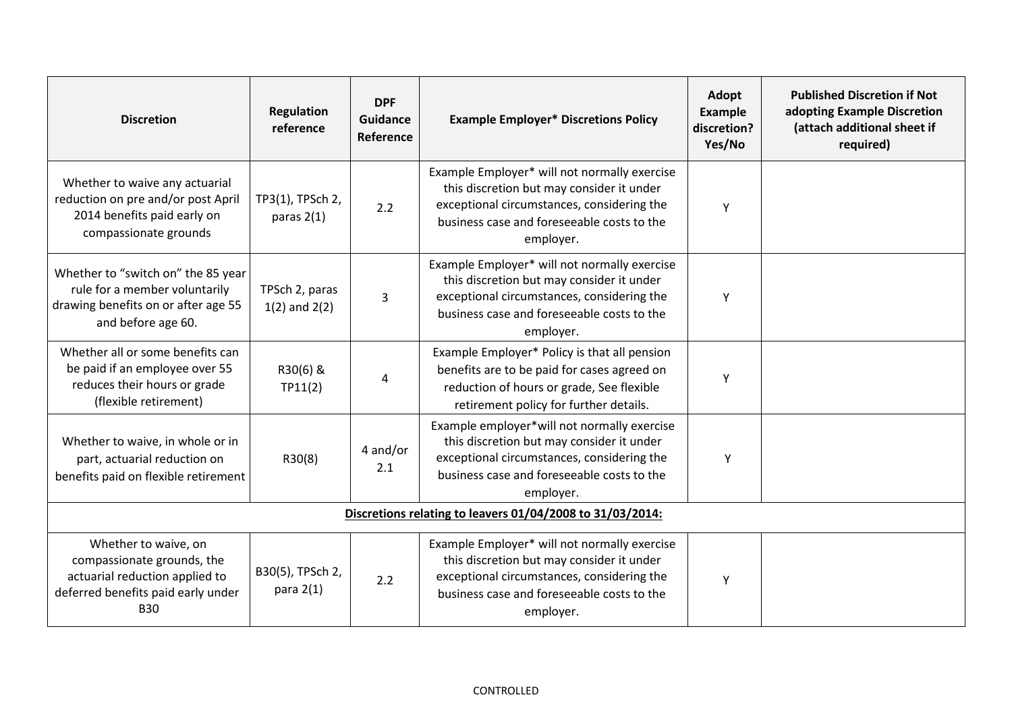| <b>Discretion</b>                                                                                                                        | <b>Regulation</b><br>reference      | <b>DPF</b><br><b>Guidance</b><br>Reference | <b>Example Employer* Discretions Policy</b>                                                                                                                                                        | Adopt<br>Example<br>discretion?<br>Yes/No | <b>Published Discretion if Not</b><br>adopting Example Discretion<br>(attach additional sheet if<br>required) |
|------------------------------------------------------------------------------------------------------------------------------------------|-------------------------------------|--------------------------------------------|----------------------------------------------------------------------------------------------------------------------------------------------------------------------------------------------------|-------------------------------------------|---------------------------------------------------------------------------------------------------------------|
| Whether to waive any actuarial<br>reduction on pre and/or post April<br>2014 benefits paid early on<br>compassionate grounds             | TP3(1), TPSch 2,<br>paras $2(1)$    | 2.2                                        | Example Employer* will not normally exercise<br>this discretion but may consider it under<br>exceptional circumstances, considering the<br>business case and foreseeable costs to the<br>employer. | Y                                         |                                                                                                               |
| Whether to "switch on" the 85 year<br>rule for a member voluntarily<br>drawing benefits on or after age 55<br>and before age 60.         | TPSch 2, paras<br>$1(2)$ and $2(2)$ | 3                                          | Example Employer* will not normally exercise<br>this discretion but may consider it under<br>exceptional circumstances, considering the<br>business case and foreseeable costs to the<br>employer. | Y                                         |                                                                                                               |
| Whether all or some benefits can<br>be paid if an employee over 55<br>reduces their hours or grade<br>(flexible retirement)              | R30(6) &<br>TP11(2)                 | 4                                          | Example Employer* Policy is that all pension<br>benefits are to be paid for cases agreed on<br>reduction of hours or grade, See flexible<br>retirement policy for further details.                 | Y                                         |                                                                                                               |
| Whether to waive, in whole or in<br>part, actuarial reduction on<br>benefits paid on flexible retirement                                 | R30(8)                              | 4 and/or<br>2.1                            | Example employer*will not normally exercise<br>this discretion but may consider it under<br>exceptional circumstances, considering the<br>business case and foreseeable costs to the<br>employer.  | Y                                         |                                                                                                               |
| Discretions relating to leavers 01/04/2008 to 31/03/2014:                                                                                |                                     |                                            |                                                                                                                                                                                                    |                                           |                                                                                                               |
| Whether to waive, on<br>compassionate grounds, the<br>actuarial reduction applied to<br>deferred benefits paid early under<br><b>B30</b> | B30(5), TPSch 2,<br>para $2(1)$     | 2.2                                        | Example Employer* will not normally exercise<br>this discretion but may consider it under<br>exceptional circumstances, considering the<br>business case and foreseeable costs to the<br>employer. | Y                                         |                                                                                                               |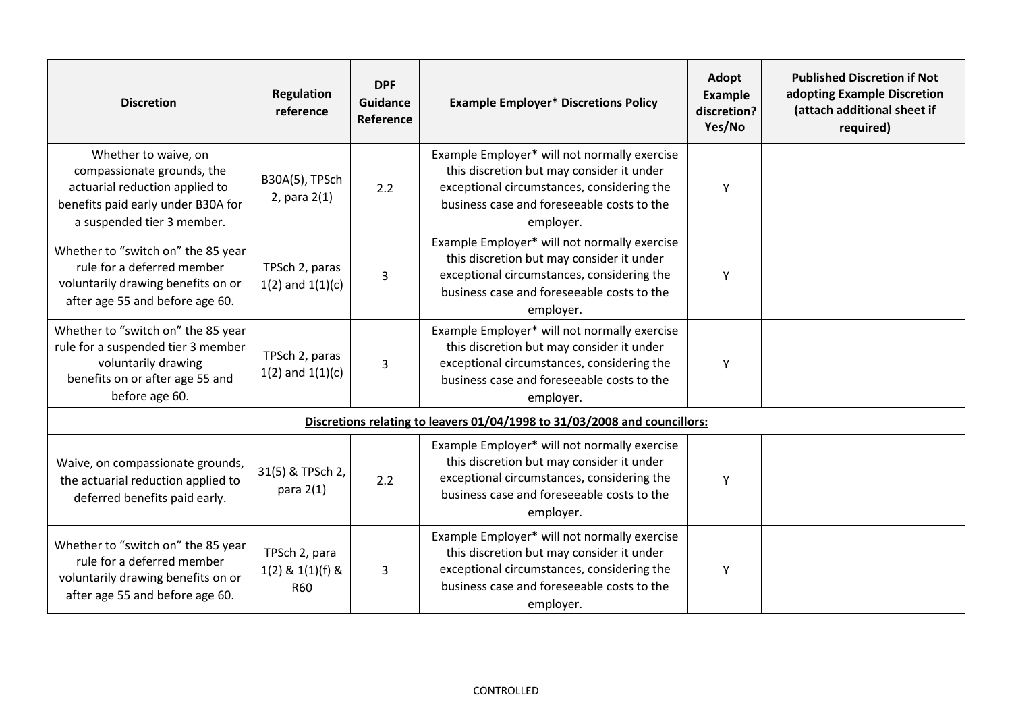| <b>Discretion</b>                                                                                                                                        | <b>Regulation</b><br>reference                      | <b>DPF</b><br><b>Guidance</b><br>Reference | <b>Example Employer* Discretions Policy</b>                                                                                                                                                        | Adopt<br>Example<br>discretion?<br>Yes/No | <b>Published Discretion if Not</b><br>adopting Example Discretion<br>(attach additional sheet if<br>required) |
|----------------------------------------------------------------------------------------------------------------------------------------------------------|-----------------------------------------------------|--------------------------------------------|----------------------------------------------------------------------------------------------------------------------------------------------------------------------------------------------------|-------------------------------------------|---------------------------------------------------------------------------------------------------------------|
| Whether to waive, on<br>compassionate grounds, the<br>actuarial reduction applied to<br>benefits paid early under B30A for<br>a suspended tier 3 member. | B30A(5), TPSch<br>2, para $2(1)$                    | 2.2                                        | Example Employer* will not normally exercise<br>this discretion but may consider it under<br>exceptional circumstances, considering the<br>business case and foreseeable costs to the<br>employer. | Y                                         |                                                                                                               |
| Whether to "switch on" the 85 year<br>rule for a deferred member<br>voluntarily drawing benefits on or<br>after age 55 and before age 60.                | TPSch 2, paras<br>$1(2)$ and $1(1)(c)$              | 3                                          | Example Employer* will not normally exercise<br>this discretion but may consider it under<br>exceptional circumstances, considering the<br>business case and foreseeable costs to the<br>employer. | Y                                         |                                                                                                               |
| Whether to "switch on" the 85 year<br>rule for a suspended tier 3 member<br>voluntarily drawing<br>benefits on or after age 55 and<br>before age 60.     | TPSch 2, paras<br>$1(2)$ and $1(1)(c)$              | 3                                          | Example Employer* will not normally exercise<br>this discretion but may consider it under<br>exceptional circumstances, considering the<br>business case and foreseeable costs to the<br>employer. | Y                                         |                                                                                                               |
| Discretions relating to leavers 01/04/1998 to 31/03/2008 and councillors:                                                                                |                                                     |                                            |                                                                                                                                                                                                    |                                           |                                                                                                               |
| Waive, on compassionate grounds,<br>the actuarial reduction applied to<br>deferred benefits paid early.                                                  | 31(5) & TPSch 2,<br>para $2(1)$                     | 2.2                                        | Example Employer* will not normally exercise<br>this discretion but may consider it under<br>exceptional circumstances, considering the<br>business case and foreseeable costs to the<br>employer. | Y                                         |                                                                                                               |
| Whether to "switch on" the 85 year<br>rule for a deferred member<br>voluntarily drawing benefits on or<br>after age 55 and before age 60.                | TPSch 2, para<br>$1(2)$ & $1(1)(f)$ &<br><b>R60</b> | 3                                          | Example Employer* will not normally exercise<br>this discretion but may consider it under<br>exceptional circumstances, considering the<br>business case and foreseeable costs to the<br>employer. | Y                                         |                                                                                                               |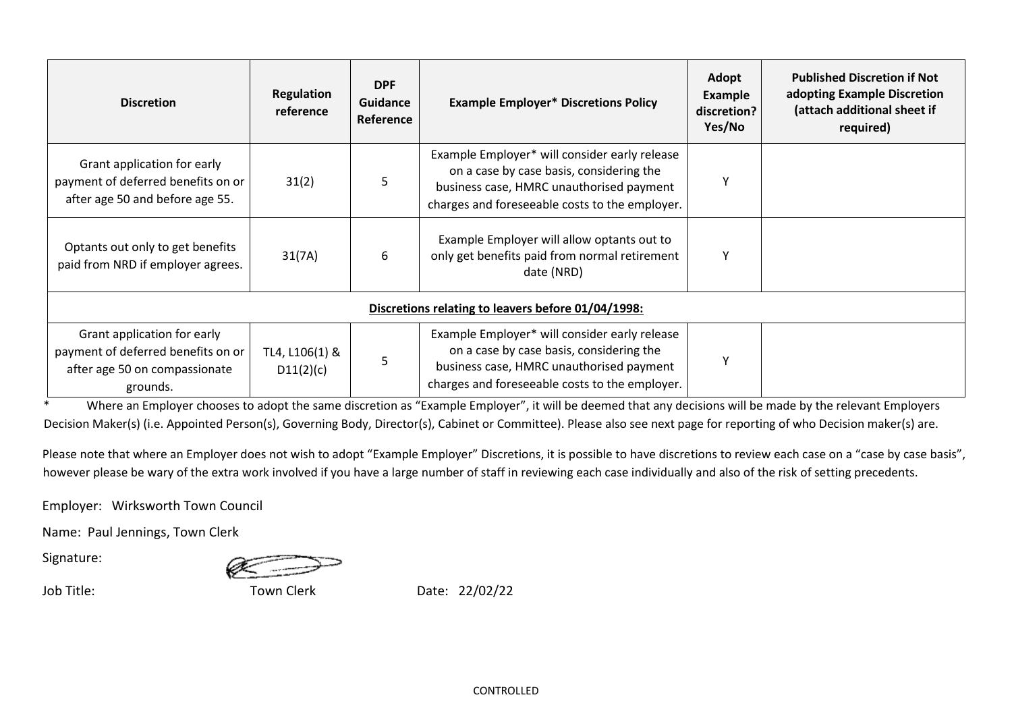| <b>Discretion</b>                                                                                              | <b>Regulation</b><br>reference | <b>DPF</b><br>Guidance<br>Reference | <b>Example Employer* Discretions Policy</b>                                                                                                                                             | Adopt<br><b>Example</b><br>discretion?<br>Yes/No | <b>Published Discretion if Not</b><br>adopting Example Discretion<br>(attach additional sheet if<br>required) |
|----------------------------------------------------------------------------------------------------------------|--------------------------------|-------------------------------------|-----------------------------------------------------------------------------------------------------------------------------------------------------------------------------------------|--------------------------------------------------|---------------------------------------------------------------------------------------------------------------|
| Grant application for early<br>payment of deferred benefits on or<br>after age 50 and before age 55.           | 31(2)                          | 5                                   | Example Employer* will consider early release<br>on a case by case basis, considering the<br>business case, HMRC unauthorised payment<br>charges and foreseeable costs to the employer. | ٧                                                |                                                                                                               |
| Optants out only to get benefits<br>paid from NRD if employer agrees.                                          | 31(7A)                         | 6                                   | Example Employer will allow optants out to<br>only get benefits paid from normal retirement<br>date (NRD)                                                                               | Υ                                                |                                                                                                               |
| Discretions relating to leavers before 01/04/1998:                                                             |                                |                                     |                                                                                                                                                                                         |                                                  |                                                                                                               |
| Grant application for early<br>payment of deferred benefits on or<br>after age 50 on compassionate<br>grounds. | TL4, L106(1) &<br>D11(2)(c)    | 5                                   | Example Employer* will consider early release<br>on a case by case basis, considering the<br>business case, HMRC unauthorised payment<br>charges and foreseeable costs to the employer. | ٧                                                |                                                                                                               |

\* Where an Employer chooses to adopt the same discretion as "Example Employer", it will be deemed that any decisions will be made by the relevant Employers Decision Maker(s) (i.e. Appointed Person(s), Governing Body, Director(s), Cabinet or Committee). Please also see next page for reporting of who Decision maker(s) are.

Please note that where an Employer does not wish to adopt "Example Employer" Discretions, it is possible to have discretions to review each case on a "case by case basis", however please be wary of the extra work involved if you have a large number of staff in reviewing each case individually and also of the risk of setting precedents.

Employer: Wirksworth Town Council

Name: Paul Jennings, Town Clerk

Signature:

Job Title: Town Clerk Date: 22/02/22

CONTROLLED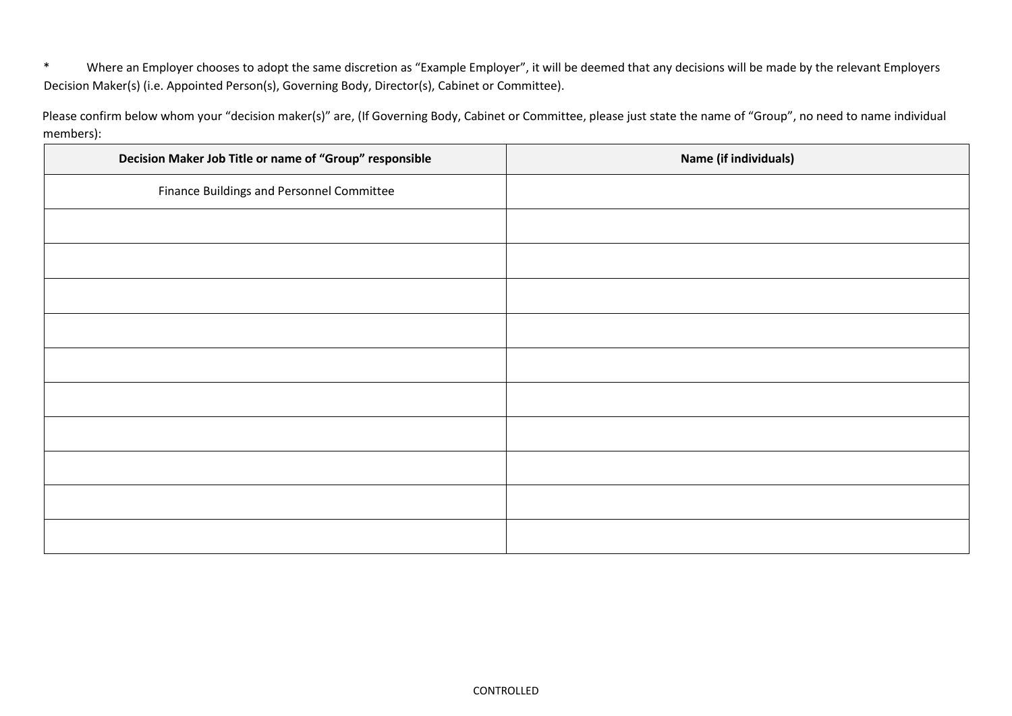\* Where an Employer chooses to adopt the same discretion as "Example Employer", it will be deemed that any decisions will be made by the relevant Employers Decision Maker(s) (i.e. Appointed Person(s), Governing Body, Director(s), Cabinet or Committee).

Please confirm below whom your "decision maker(s)" are, (If Governing Body, Cabinet or Committee, please just state the name of "Group", no need to name individual members):

| Decision Maker Job Title or name of "Group" responsible | Name (if individuals) |
|---------------------------------------------------------|-----------------------|
| Finance Buildings and Personnel Committee               |                       |
|                                                         |                       |
|                                                         |                       |
|                                                         |                       |
|                                                         |                       |
|                                                         |                       |
|                                                         |                       |
|                                                         |                       |
|                                                         |                       |
|                                                         |                       |
|                                                         |                       |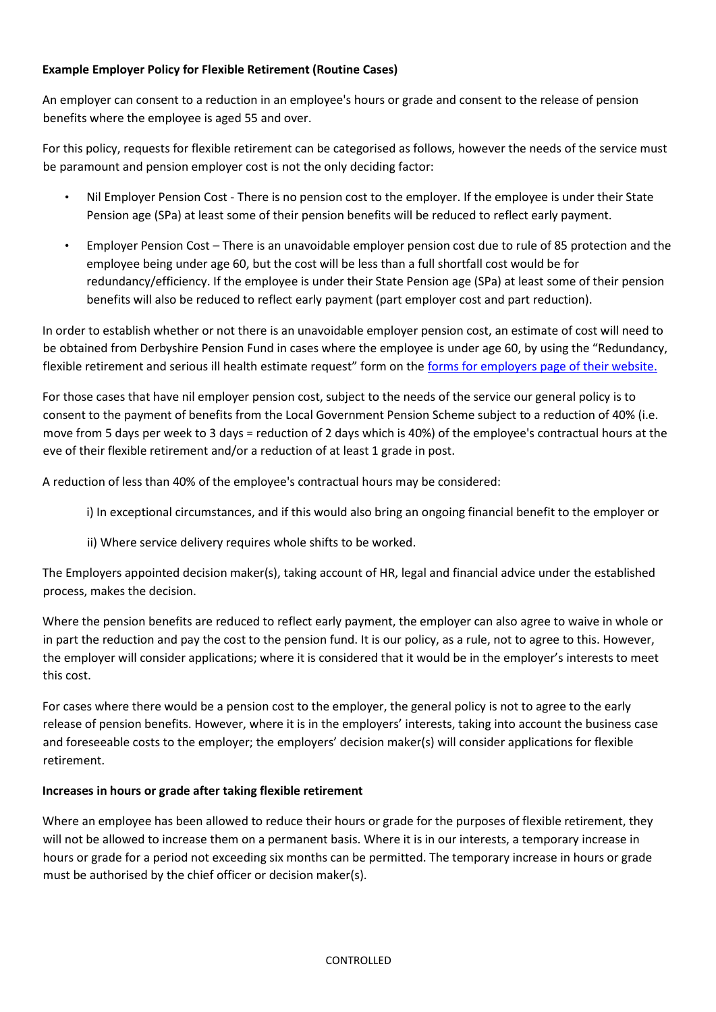# **Example Employer Policy for Flexible Retirement (Routine Cases)**

An employer can consent to a reduction in an employee's hours or grade and consent to the release of pension benefits where the employee is aged 55 and over.

For this policy, requests for flexible retirement can be categorised as follows, however the needs of the service must be paramount and pension employer cost is not the only deciding factor:

- Nil Employer Pension Cost There is no pension cost to the employer. If the employee is under their State Pension age (SPa) at least some of their pension benefits will be reduced to reflect early payment.
- Employer Pension Cost There is an unavoidable employer pension cost due to rule of 85 protection and the employee being under age 60, but the cost will be less than a full shortfall cost would be for redundancy/efficiency. If the employee is under their State Pension age (SPa) at least some of their pension benefits will also be reduced to reflect early payment (part employer cost and part reduction).

In order to establish whether or not there is an unavoidable employer pension cost, an estimate of cost will need to be obtained from Derbyshire Pension Fund in cases where the employee is under age 60, by using the "Redundancy, flexible retirement and serious ill health estimate request" form on the forms for employers [page of their website.](https://www.derbyshirepensionfund.org.uk/employers/forms-for-employers/forms-for-employers.aspx)

For those cases that have nil employer pension cost, subject to the needs of the service our general policy is to consent to the payment of benefits from the Local Government Pension Scheme subject to a reduction of 40% (i.e. move from 5 days per week to 3 days = reduction of 2 days which is 40%) of the employee's contractual hours at the eve of their flexible retirement and/or a reduction of at least 1 grade in post.

A reduction of less than 40% of the employee's contractual hours may be considered:

- i) In exceptional circumstances, and if this would also bring an ongoing financial benefit to the employer or
- ii) Where service delivery requires whole shifts to be worked.

The Employers appointed decision maker(s), taking account of HR, legal and financial advice under the established process, makes the decision.

Where the pension benefits are reduced to reflect early payment, the employer can also agree to waive in whole or in part the reduction and pay the cost to the pension fund. It is our policy, as a rule, not to agree to this. However, the employer will consider applications; where it is considered that it would be in the employer's interests to meet this cost.

For cases where there would be a pension cost to the employer, the general policy is not to agree to the early release of pension benefits. However, where it is in the employers' interests, taking into account the business case and foreseeable costs to the employer; the employers' decision maker(s) will consider applications for flexible retirement.

## **Increases in hours or grade after taking flexible retirement**

Where an employee has been allowed to reduce their hours or grade for the purposes of flexible retirement, they will not be allowed to increase them on a permanent basis. Where it is in our interests, a temporary increase in hours or grade for a period not exceeding six months can be permitted. The temporary increase in hours or grade must be authorised by the chief officer or decision maker(s).